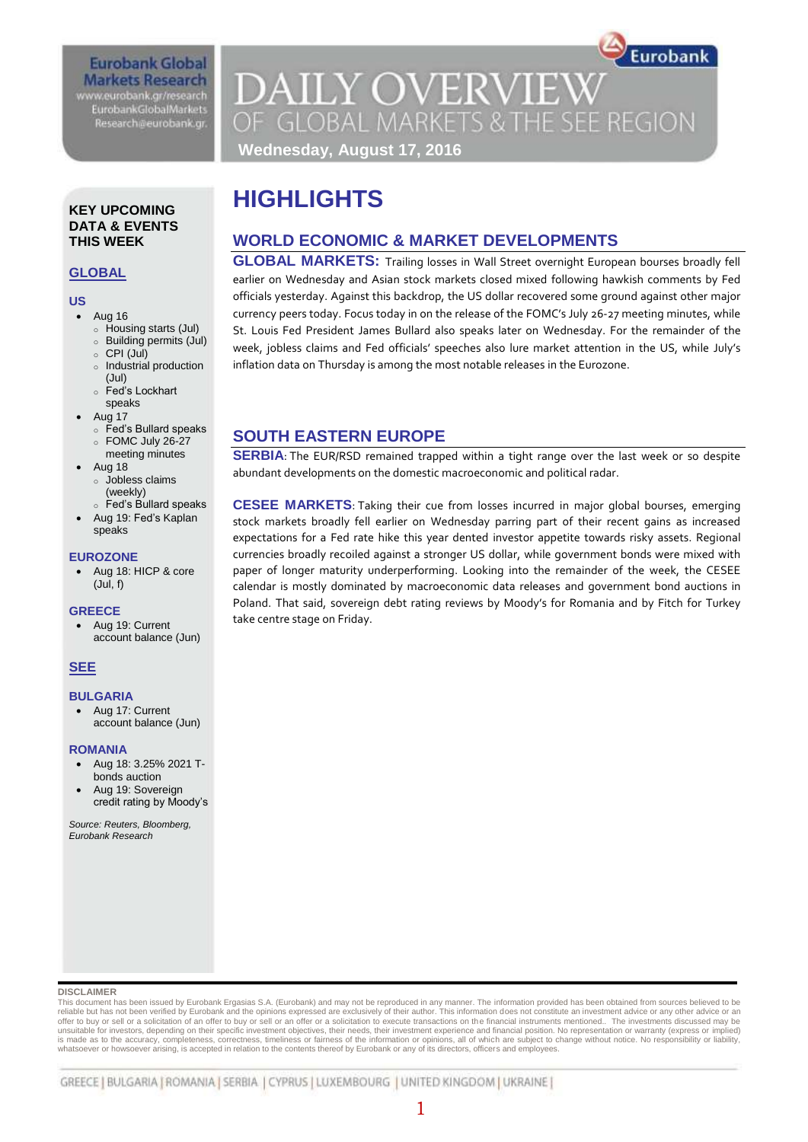## **Eurobank Global Markets Research** www.eurobank.gr/research

**EurobankGlobalMarkets** Research@eurobank.gr

Eurobank **DAILY OVERVIEW** OF GLOBAL MARKETS & THE SEE REGION **Wednesday, August 17, 2016**

## **HIGHLIGHTS**

## **WORLD ECONOMIC & MARKET DEVELOPMENTS**

**GLOBAL MARKETS:** Trailing losses in Wall Street overnight European bourses broadly fell earlier on Wednesday and Asian stock markets closed mixed following hawkish comments by Fed officials yesterday. Against this backdrop, the US dollar recovered some ground against other major currency peers today. Focus today in on the release of the FOMC's July 26-27 meeting minutes, while St. Louis Fed President James Bullard also speaks later on Wednesday. For the remainder of the week, jobless claims and Fed officials' speeches also lure market attention in the US, while July's inflation data on Thursday is among the most notable releases in the Eurozone.

## **SOUTH EASTERN EUROPE**

**SERBIA:** The EUR/RSD remained trapped within a tight range over the last week or so despite abundant developments on the domestic macroeconomic and political radar.

**CESEE MARKETS**: Taking their cue from losses incurred in major global bourses, emerging stock markets broadly fell earlier on Wednesday parring part of their recent gains as increased expectations for a Fed rate hike this year dented investor appetite towards risky assets. Regional currencies broadly recoiled against a stronger US dollar, while government bonds were mixed with paper of longer maturity underperforming. Looking into the remainder of the week, the CESEE calendar is mostly dominated by macroeconomic data releases and government bond auctions in Poland. That said, sovereign debt rating reviews by Moody's for Romania and by Fitch for Turkey take centre stage on Friday.

#### **KEY UPCOMING DATA & EVENTS THIS WEEK**

### **GLOBAL**

### **US**

- Aug 16
	- o Housing starts (Jul)
	- o Building permits (Jul) o CPI (Jul)
	-
	- o Industrial production (Jul)
	- o Fed's Lockhart
- speaks
- Aug 17
	- o Fed's Bullard speaks
	- o FOMC July 26-27 meeting minutes
- Aug 18
	- o Jobless claims (weekly)
- o Fed's Bullard speaks
- Aug 19: Fed's Kaplan speaks

#### **EUROZONE**

 Aug 18: HICP & core (Jul, f)

#### **GREECE**

 Aug 19: Current account balance (Jun)

#### **SEE**

#### **BULGARIA**

 Aug 17: Current account balance (Jun)

#### **ROMANIA**

- Aug 18: 3.25% 2021 Tbonds auction
- Aug 19: Sovereign credit rating by Moody's

*Source: Reuters, Bloomberg, Eurobank Research*

#### **DISCLAIMER**

This document has been issued by Eurobank Ergasias S.A. (Eurobank) and may not be reproduced in any manner. The information provided has been obtained from sources believed to be<br>reliable but has not been verified by Eurob unsuitable for investors, depending on their specific investment objectives, their needs, their investment experience and financial position. No representation or warranty (express or implied)<br>is made as to the accuracy, c whatsoever or howsoever arising, is accepted in relation to the contents thereof by Eurobank or any of its directors, officers and employees.

## 1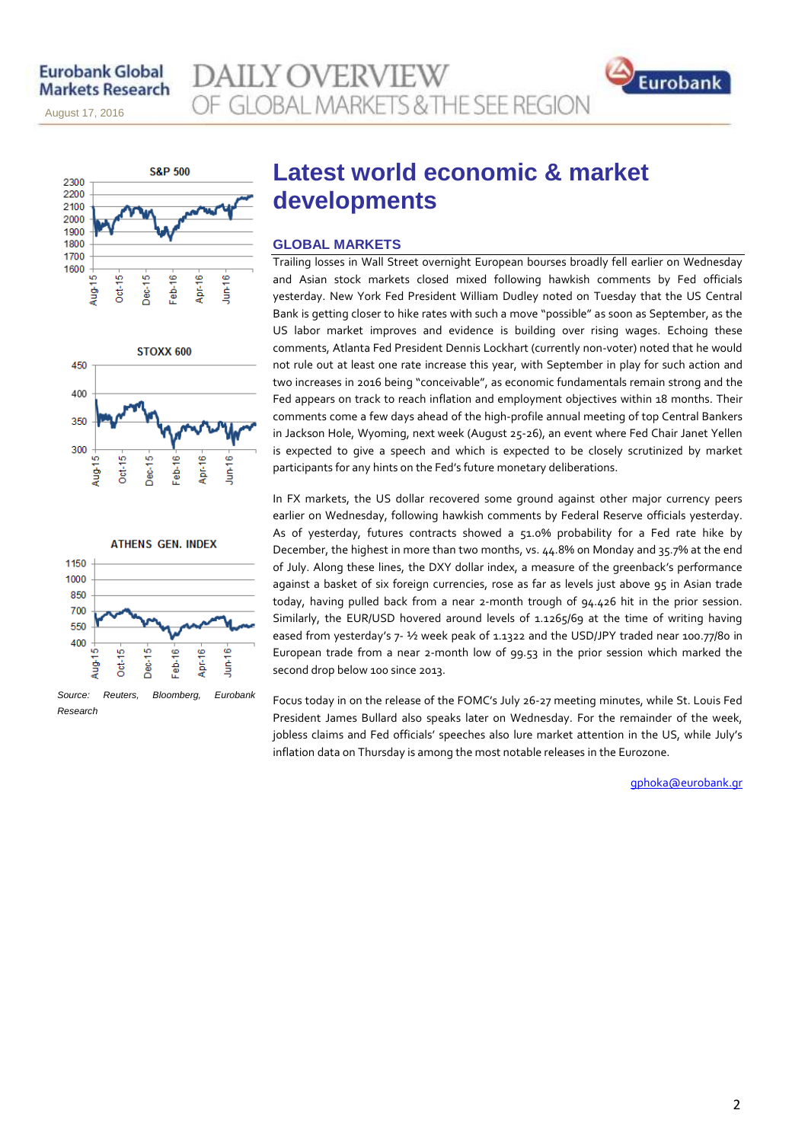August 17, 2016

November 14, 2013

**AILY OVERVIEW** OF GLOBAL MARKETS & THE SEE REGION









## **Latest world economic & market developments**

#### **GLOBAL MARKETS**

Trailing losses in Wall Street overnight European bourses broadly fell earlier on Wednesday and Asian stock markets closed mixed following hawkish comments by Fed officials yesterday. New York Fed President William Dudley noted on Tuesday that the US Central Bank is getting closer to hike rates with such a move "possible" as soon as September, as the US labor market improves and evidence is building over rising wages. Echoing these comments, Atlanta Fed President Dennis Lockhart (currently non-voter) noted that he would not rule out at least one rate increase this year, with September in play for such action and two increases in 2016 being "conceivable", as economic fundamentals remain strong and the Fed appears on track to reach inflation and employment objectives within 18 months. Their comments come a few days ahead of the high-profile annual meeting of top Central Bankers in Jackson Hole, Wyoming, next week (August 25-26), an event where Fed Chair Janet Yellen is expected to give a speech and which is expected to be closely scrutinized by market participants for any hints on the Fed's future monetary deliberations.

In FX markets, the US dollar recovered some ground against other major currency peers earlier on Wednesday, following hawkish comments by Federal Reserve officials yesterday. As of yesterday, futures contracts showed a 51.0% probability for a Fed rate hike by December, the highest in more than two months, vs. 44.8% on Monday and 35.7% at the end of July. Along these lines, the DXY dollar index, a measure of the greenback's performance against a basket of six foreign currencies, rose as far as levels just above 95 in Asian trade today, having pulled back from a near 2-month trough of 94.426 hit in the prior session. Similarly, the EUR/USD hovered around levels of 1.1265/69 at the time of writing having eased from yesterday's 7- ½ week peak of 1.1322 and the USD/JPY traded near 100.77/80 in European trade from a near 2-month low of 99.53 in the prior session which marked the second drop below 100 since 2013.

Focus today in on the release of the FOMC's July 26-27 meeting minutes, while St. Louis Fed President James Bullard also speaks later on Wednesday. For the remainder of the week, jobless claims and Fed officials' speeches also lure market attention in the US, while July's inflation data on Thursday is among the most notable releases in the Eurozone.

[gphoka@eurobank.gr](mailto:gphoka@eurobank.gr)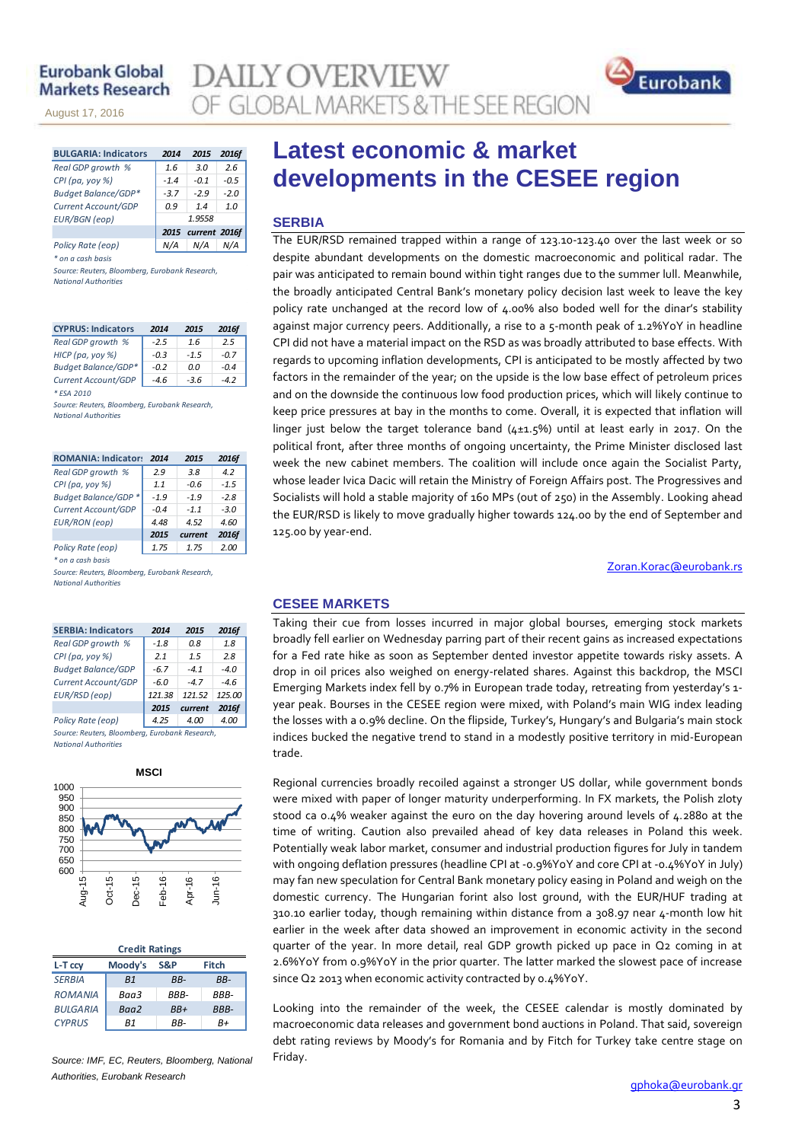### **Eurobank Global Markets Research**

November 14, 2013

August 17, 2016

**DAILY OVERVIEW** OF GLOBAL MARKETS & THE SEE REGION



| <b>BULGARIA: Indicators</b> | 2014   | 2015               | 2016f  |  |  |  |
|-----------------------------|--------|--------------------|--------|--|--|--|
| Real GDP growth %           | 1.6    | 3.0                | 2.6    |  |  |  |
| $CPI(pa, yoy \%)$           | $-1.4$ | -0.1               | $-0.5$ |  |  |  |
| Budget Balance/GDP*         | $-3.7$ | $-2.9$             | $-2.0$ |  |  |  |
| Current Account/GDP         | 0.9    | 14                 | 1.0    |  |  |  |
| <b>EUR/BGN</b> (eop)        | 1.9558 |                    |        |  |  |  |
|                             |        | 2015 current 2016f |        |  |  |  |
| Policy Rate (eop)           |        | N/A                |        |  |  |  |

*\* on a cash basis*

*Source: Reuters, Bloomberg, Eurobank Research, National Authorities*

| <b>CYPRUS: Indicators</b>  | 2014   | 2015   | <b>2016f</b> |
|----------------------------|--------|--------|--------------|
| Real GDP growth %          | $-2.5$ | 1.6    | 2.5          |
| HICP (pa, yoy %)           | $-0.3$ | $-1.5$ | $-0.7$       |
| <b>Budget Balance/GDP*</b> | $-0.2$ | 0.0    | $-0.4$       |
| Current Account/GDP        | -4.6   | $-3.6$ | -42          |
| * ESA 2010                 |        |        |              |

*Source: Reuters, Bloomberg, Eurobank Research, National Authorities*

| <b>ROMANIA: Indicator:</b>  | 2014   | 2015    | 2016f  |
|-----------------------------|--------|---------|--------|
| Real GDP growth %           | 2.9    | 3.8     | 4.2    |
| CPI (pa, yoy %)             | 1.1    | -0.6    | $-1.5$ |
| <b>Budget Balance/GDP *</b> | $-1.9$ | $-1.9$  | $-2.8$ |
| Current Account/GDP         | $-0.4$ | $-1.1$  | $-3.0$ |
| <b>EUR/RON</b> (eop)        | 4.48   | 4.52    | 4.60   |
|                             | 2015   | current | 2016f  |
| Policy Rate (eop)           | 1.75   | 1.75    | 2.00   |

*\* on a cash basis*

*Source: Reuters, Bloomberg, Eurobank Research, National Authorities*

| <b>SERBIA: Indicators</b>                      | 2014   | 2015   | 2016f  |  |  |  |  |  |  |
|------------------------------------------------|--------|--------|--------|--|--|--|--|--|--|
| Real GDP growth %                              | $-1.8$ | 0.8    | 1.8    |  |  |  |  |  |  |
| $CPI(pa, yoy \%)$                              | 2.1    | 1.5    | 2.8    |  |  |  |  |  |  |
| <b>Budget Balance/GDP</b>                      | $-6.7$ | $-41$  | $-4.0$ |  |  |  |  |  |  |
| Current Account/GDP                            | $-6.0$ | $-47$  | $-4.6$ |  |  |  |  |  |  |
| EUR/RSD (eop)                                  | 121.38 | 121.52 | 125.00 |  |  |  |  |  |  |
| 2016f<br>2015<br>current                       |        |        |        |  |  |  |  |  |  |
| Policy Rate (eop)                              | 4.25   | 4.00   | 4.00   |  |  |  |  |  |  |
| Source: Reuters, Bloomberg, Eurobank Research, |        |        |        |  |  |  |  |  |  |

*National Authorities*



| <b>Credit Ratings</b> |                |      |              |  |  |  |  |  |
|-----------------------|----------------|------|--------------|--|--|--|--|--|
| L-T ccv               | Moody's        | S&P  | <b>Fitch</b> |  |  |  |  |  |
| <b>SERBIA</b>         | B <sub>1</sub> | RR-  | $BB-$        |  |  |  |  |  |
| <b>ROMANIA</b>        | Baa3           | RRR- | RRR-         |  |  |  |  |  |
| <b>BULGARIA</b>       | Baa2           | RR+  | <b>BBB-</b>  |  |  |  |  |  |
| <b>CYPRUS</b>         | R1             | RR-  | R+           |  |  |  |  |  |
|                       |                |      |              |  |  |  |  |  |

*Source: IMF, EC, Reuters, Bloomberg, National Authorities, Eurobank Research*

## **Latest economic & market developments in the CESEE region**

#### **SERBIA**

The EUR/RSD remained trapped within a range of 123.10-123.40 over the last week or so despite abundant developments on the domestic macroeconomic and political radar. The pair was anticipated to remain bound within tight ranges due to the summer lull. Meanwhile, the broadly anticipated Central Bank's monetary policy decision last week to leave the key policy rate unchanged at the record low of 4.00% also boded well for the dinar's stability against major currency peers. Additionally, a rise to a 5-month peak of 1.2%YoY in headline CPI did not have a material impact on the RSD as was broadly attributed to base effects. With regards to upcoming inflation developments, CPI is anticipated to be mostly affected by two factors in the remainder of the year; on the upside is the low base effect of petroleum prices and on the downside the continuous low food production prices, which will likely continue to keep price pressures at bay in the months to come. Overall, it is expected that inflation will linger just below the target tolerance band (4±1.5%) until at least early in 2017. On the political front, after three months of ongoing uncertainty, the Prime Minister disclosed last week the new cabinet members. The coalition will include once again the Socialist Party, whose leader Ivica Dacic will retain the Ministry of Foreign Affairs post. The Progressives and Socialists will hold a stable majority of 160 MPs (out of 250) in the Assembly. Looking ahead the EUR/RSD is likely to move gradually higher towards 124.00 by the end of September and 125.00 by year-end.

[Zoran.Korac@eurobank.rs](mailto:Zoran.Korac@eurobank.rs)

#### **CESEE MARKETS**

Taking their cue from losses incurred in major global bourses, emerging stock markets broadly fell earlier on Wednesday parring part of their recent gains as increased expectations for a Fed rate hike as soon as September dented investor appetite towards risky assets. A drop in oil prices also weighed on energy-related shares. Against this backdrop, the MSCI Emerging Markets index fell by 0.7% in European trade today, retreating from yesterday's 1 year peak. Bourses in the CESEE region were mixed, with Poland's main WIG index leading the losses with a 0.9% decline. On the flipside, Turkey's, Hungary's and Bulgaria's main stock indices bucked the negative trend to stand in a modestly positive territory in mid-European trade.

Regional currencies broadly recoiled against a stronger US dollar, while government bonds were mixed with paper of longer maturity underperforming. In FX markets, the Polish zloty stood ca 0.4% weaker against the euro on the day hovering around levels of 4.2880 at the time of writing. Caution also prevailed ahead of key data releases in Poland this week. Potentially weak labor market, consumer and industrial production figures for July in tandem with ongoing deflation pressures (headline CPI at -0.9%YoY and core CPI at -0.4%YoY in July) may fan new speculation for Central Bank monetary policy easing in Poland and weigh on the domestic currency. The Hungarian forint also lost ground, with the EUR/HUF trading at 310.10 earlier today, though remaining within distance from a 308.97 near 4-month low hit earlier in the week after data showed an improvement in economic activity in the second quarter of the year. In more detail, real GDP growth picked up pace in Q2 coming in at 2.6%YoY from 0.9%YoY in the prior quarter. The latter marked the slowest pace of increase since Q2 2013 when economic activity contracted by 0.4%YoY.

Looking into the remainder of the week, the CESEE calendar is mostly dominated by macroeconomic data releases and government bond auctions in Poland. That said, sovereign debt rating reviews by Moody's for Romania and by Fitch for Turkey take centre stage on Friday.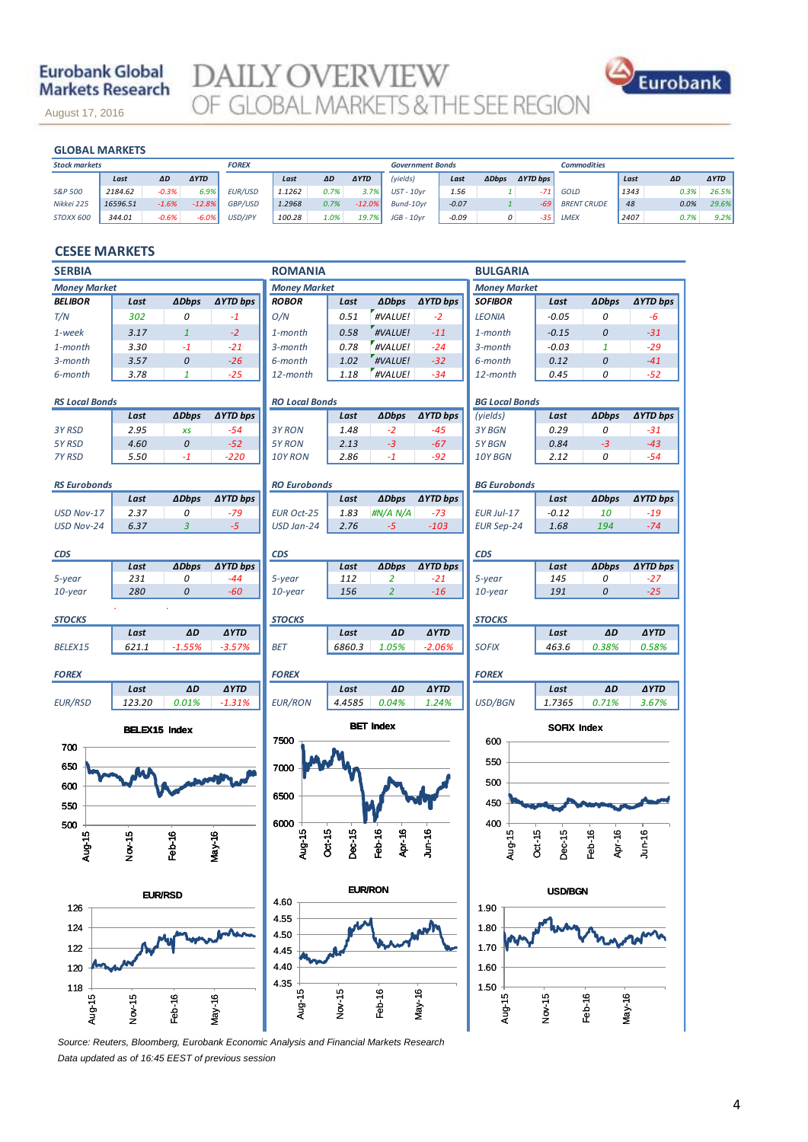## **Eurobank Global Markets Research**

August 17, 2016

**DAILY OVERVIEW**<br>OF GLOBAL MARKETS & THE SEE REGION



November 14, 2013

| <b>GLOBAL MARKETS</b> |  |                                     |                |        |      |             |               |         |                         |                     |                    |      |      |             |
|-----------------------|--|-------------------------------------|----------------|--------|------|-------------|---------------|---------|-------------------------|---------------------|--------------------|------|------|-------------|
|                       |  |                                     | <b>FOREX</b>   |        |      |             |               |         |                         |                     | <b>Commodities</b> |      |      |             |
| Last                  |  | <b>AYTD</b>                         |                | Last   | ΔD   | <b>AYTD</b> | (yields)      | Last    | <b>ADbps</b>            | $\triangle YTD$ bps |                    | Last | ΔD   | <b>AYTD</b> |
| 2184.62               |  | 6.9%                                | <b>EUR/USD</b> | 1.1262 | 0.7% | 3.7%        | $UST - 10vr$  | 1.56    |                         | $-71$               | GOLD               | 1343 | 0.3% | 26.5%       |
| 16596.51              |  | $-12.8%$                            | GBP/USD        | 1.2968 | 0.7% | $-12.0%$    | Bund-10vr     | $-0.07$ |                         | $-69$               | <b>BRENT CRUDE</b> | 48   | 0.0% | 29.6%       |
| 344.01                |  | $-6.0%$                             | USD/JPY        | 100.28 | 1.0% | 19.7%       | $JGB - 10$ vr | $-0.09$ |                         | $-35$               | <b>LMEX</b>        | 2407 | 0.7% | 9.2%        |
|                       |  | ΔD<br>$-0.3%$<br>$-1.6%$<br>$-0.6%$ |                |        |      |             |               |         | <b>Government Bonds</b> |                     | 0                  |      |      |             |

#### **CESEE MARKETS**

| <b>SERBIA</b><br><b>ROMANIA</b>                |                      |                    |                 |                     |                  | <b>BULGARIA</b>       |                 |                     |                    |                    |                 |
|------------------------------------------------|----------------------|--------------------|-----------------|---------------------|------------------|-----------------------|-----------------|---------------------|--------------------|--------------------|-----------------|
| <b>Money Market</b>                            |                      |                    |                 | <b>Money Market</b> |                  |                       |                 | <b>Money Market</b> |                    |                    |                 |
| <b>BELIBOR</b>                                 | Last                 | <b>ADbps</b>       | <b>∆YTD bps</b> | <b>ROBOR</b>        | Last             | <b>ADbps</b>          | ∆YTD bps        | <b>SOFIBOR</b>      | Last               | <b>ADbps</b>       | <b>∆YTD bps</b> |
| T/N                                            | 302                  | 0                  | $-1$            | O/N                 | 0.51             | #VALUE!               | $-2$            | <b>LEONIA</b>       | $-0.05$            | 0                  | -6              |
| 1-week                                         | 3.17                 | $\mathbf{1}$       | $-2$            | 1-month             | 0.58             | #VALUE!               | $-11$           | 1-month             | $-0.15$            | 0                  | $-31$           |
| 1-month                                        | 3.30                 | $-1$               | $-21$           | 3-month             | 0.78             | #VALUE!               | $-24$           | 3-month             | $-0.03$            | $\mathbf{1}$       | $-29$           |
| 3-month                                        | 3.57                 | $\pmb{\mathit{O}}$ | $-26$           | 6-month             | 1.02             | #VALUE!               | $-32$           | 6-month             | 0.12               | 0                  | $-41$           |
| 6-month                                        | 3.78                 | $\mathbf{1}$       | $-25$           | 12-month            | 1.18             | #VALUE!               | $-34$           | 12-month            | 0.45               | 0                  | $-52$           |
| <b>RO Local Bonds</b><br><b>RS Local Bonds</b> |                      |                    |                 |                     |                  | <b>BG Local Bonds</b> |                 |                     |                    |                    |                 |
|                                                | Last                 | <b>ADbps</b>       | ∆YTD bps        |                     | Last             | <b>ADbps</b>          | ∆YTD bps        | (yields)            | Last               | <b>ADbps</b>       | <b>∆YTD bps</b> |
| 3Y RSD                                         | 2.95                 | XS                 | $-54$           | 3Y RON              | 1.48             | $-2$                  | $-45$           | 3Y BGN              | 0.29               | 0                  | $-31$           |
| 5Y RSD                                         | 4.60                 | $\boldsymbol{0}$   | $-52$           | 5Y RON              | 2.13             | $-3$                  | $-67$           | 5Y BGN              | 0.84               | $-3$               | $-43$           |
| 7Y RSD                                         | 5.50                 | $-1$               | $-220$          | 10Y RON             | 2.86             | $-1$                  | $-92$           | 10Y BGN             | 2.12               | 0                  | $-54$           |
| <b>RS Eurobonds</b>                            |                      |                    |                 | <b>RO Eurobonds</b> |                  |                       |                 | <b>BG Eurobonds</b> |                    |                    |                 |
|                                                | Last                 | <b>ADbps</b>       | <b>AYTD bps</b> |                     | Last             | <b>ADbps</b>          | <b>AYTD bps</b> |                     | Last               | <b>ADbps</b>       | <b>AYTD bps</b> |
| USD Nov-17                                     | 2.37                 | 0                  | $-79$           | <b>EUR Oct-25</b>   | 1.83             | #N/A N/A              | $-73$           | EUR Jul-17          | $-0.12$            | 10                 | $-19$           |
| USD Nov-24                                     | 6.37                 | 3                  | $-5$            | USD Jan-24          | 2.76             | $-5$                  | $-103$          | <b>EUR Sep-24</b>   | 1.68               | 194                | $-74$           |
| <b>CDS</b>                                     |                      |                    |                 | <b>CDS</b>          |                  |                       |                 | <b>CDS</b>          |                    |                    |                 |
|                                                | Last                 | <b>ADbps</b>       | <b>AYTD bps</b> |                     | Last             | <b>ADbps</b>          | <b>AYTD bps</b> |                     | Last               | <b>ADbps</b>       | <b>AYTD bps</b> |
| 5-year                                         | 231                  | 0                  | $-44$           | 5-year              | 112              | 2                     | $-21$           | 5-year              | 145                | 0                  | $-27$           |
| 10-year                                        | 280                  | 0                  | $-60$           | $10$ -year          | 156              | $\overline{2}$        | $-16$           | $10$ -year          | 191                | 0                  | $-25$           |
| <b>STOCKS</b>                                  |                      |                    |                 | <b>STOCKS</b>       |                  |                       |                 | <b>STOCKS</b>       |                    |                    |                 |
|                                                | Last                 | AD                 | <b>AYTD</b>     |                     | Last             | ΔD                    | <b>AYTD</b>     |                     | Last               | ΔD                 | <b>AYTD</b>     |
| BELEX15                                        | 621.1                | $-1.55%$           | $-3.57%$        | BET                 | 6860.3           | 1.05%                 | $-2.06%$        | <b>SOFIX</b>        | 463.6              | 0.38%              | 0.58%           |
| <b>FOREX</b>                                   |                      |                    |                 | <b>FOREX</b>        |                  |                       |                 | <b>FOREX</b>        |                    |                    |                 |
|                                                | Last                 | AD                 | <b>AYTD</b>     |                     | Last             | ΔD                    | <b>AYTD</b>     |                     | Last               | ΔD                 | <b>AYTD</b>     |
| <b>EUR/RSD</b>                                 | 123.20               | 0.01%              | $-1.31%$        | <b>EUR/RON</b>      | 4.4585           | 0.04%                 | 1.24%           | USD/BGN             | 1.7365             | 0.71%              | 3.67%           |
|                                                | <b>BELEX15 Index</b> |                    |                 | 7500                |                  | <b>BET Index</b>      |                 | 600                 | <b>SOFIX Index</b> |                    |                 |
| 700                                            |                      |                    |                 |                     |                  |                       |                 |                     |                    |                    |                 |
| 650                                            |                      |                    |                 | 7000                |                  |                       |                 | 550                 |                    |                    |                 |
| 600                                            |                      |                    |                 |                     |                  |                       |                 | 500                 |                    |                    |                 |
| 550                                            |                      |                    |                 | 6500                |                  |                       |                 | 450                 |                    |                    |                 |
| 500                                            |                      |                    |                 | 6000                |                  |                       |                 | 400                 |                    |                    |                 |
| Aug-15                                         |                      |                    | May-16          | Aug-15              | Dec-15<br>Oct-15 | Feb-16<br>Apr-16      | $J$ un-16       | Aug-15              | Oct-15<br>Dec-15   | Apr-16<br>Feb-16   | $J$ un-16       |
|                                                | Nov-15               | Feb-16             |                 |                     |                  |                       |                 |                     |                    |                    |                 |
|                                                |                      |                    |                 |                     |                  |                       |                 |                     |                    |                    |                 |
|                                                | <b>EUR/RSD</b>       |                    |                 | <b>EUR/RON</b>      |                  |                       | <b>USD/BGN</b>  |                     |                    |                    |                 |
| 126                                            |                      |                    |                 | 4.60                |                  |                       |                 | 1.90                |                    |                    |                 |
| 124                                            |                      |                    |                 | 4.55                |                  |                       |                 | 1.80                |                    |                    |                 |
|                                                |                      |                    |                 | 4.50                |                  |                       |                 |                     |                    |                    |                 |
| 122                                            |                      |                    |                 | 4.45                |                  |                       |                 | 1.70                |                    |                    |                 |
| 120                                            |                      |                    |                 | 4.40                |                  |                       |                 | 1.60                |                    |                    |                 |
|                                                |                      |                    |                 | 4.35                |                  |                       |                 | 1.50                |                    |                    |                 |
| 118                                            |                      |                    |                 | Aug-15              | Nov-15           | Feb-16                | $May-16$        | Aug-15 $+$          |                    |                    |                 |
| Aug-15                                         | Nov-15               | Feb-16             | $May-16$        |                     |                  |                       |                 |                     | Nov-15             | Feb-16<br>$May-16$ |                 |
|                                                |                      |                    |                 |                     |                  |                       |                 |                     |                    |                    |                 |

*Source: Reuters, Bloomberg, Eurobank Economic Analysis and Financial Markets Research Data updated as of 16:45 EEST of previous session*